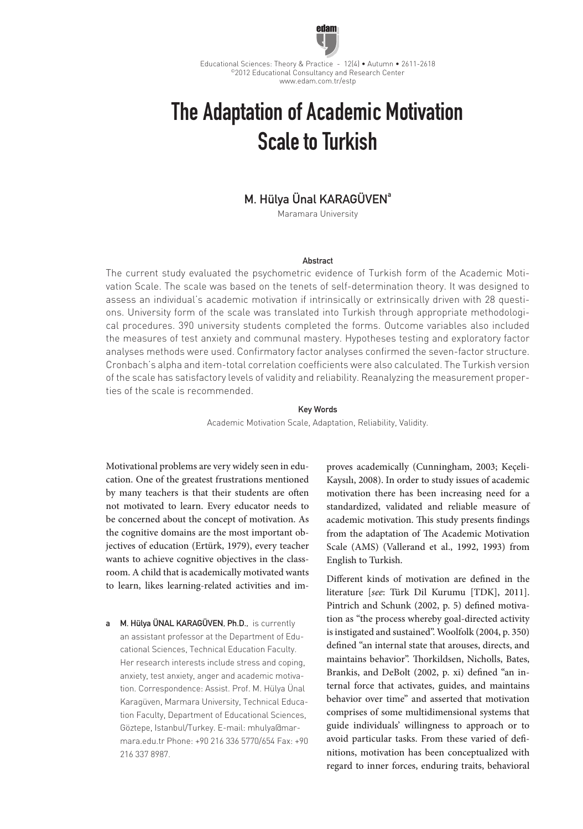

Educational Sciences: Theory & Practice - 12(4) • Autumn • 2611-2618 ©2012 Educational Consultancy and Research Center www.edam.com.tr/estp

# The Adaptation of Academic Motivation Scale to Turkish

# M. Hülya Ünal KARAGÜVEN<sup>a</sup>

Maramara University

## Abstract

The current study evaluated the psychometric evidence of Turkish form of the Academic Motivation Scale. The scale was based on the tenets of self-determination theory. It was designed to assess an individual's academic motivation if intrinsically or extrinsically driven with 28 questions. University form of the scale was translated into Turkish through appropriate methodological procedures. 390 university students completed the forms. Outcome variables also included the measures of test anxiety and communal mastery. Hypotheses testing and exploratory factor analyses methods were used. Confirmatory factor analyses confirmed the seven-factor structure. Cronbach's alpha and item-total correlation coefficients were also calculated. The Turkish version of the scale has satisfactory levels of validity and reliability. Reanalyzing the measurement properties of the scale is recommended.

# Key Words

Academic Motivation Scale, Adaptation, Reliability, Validity.

Motivational problems are very widely seen in education. One of the greatest frustrations mentioned by many teachers is that their students are often not motivated to learn. Every educator needs to be concerned about the concept of motivation. As the cognitive domains are the most important objectives of education (Ertürk, 1979), every teacher wants to achieve cognitive objectives in the classroom. A child that is academically motivated wants to learn, likes learning-related activities and im-

a M. Hülya ÜNAL KARAGÜVEN, Ph.D., is currently an assistant professor at the Department of Educational Sciences, Technical Education Faculty. Her research interests include stress and coping, anxiety, test anxiety, anger and academic motivation. Correspondence: Assist. Prof. M. Hülya Ünal Karagüven, Marmara University, Technical Education Faculty, Department of Educational Sciences, Göztepe, Istanbul/Turkey. E-mail: mhulya@marmara.edu.tr Phone: +90 216 336 5770/654 Fax: +90 216 337 8987.

proves academically (Cunningham, 2003; Keçeli-Kaysılı, 2008). In order to study issues of academic motivation there has been increasing need for a standardized, validated and reliable measure of academic motivation. This study presents findings from the adaptation of The Academic Motivation Scale (AMS) (Vallerand et al., 1992, 1993) from English to Turkish.

Different kinds of motivation are defined in the literature [*see*: Türk Dil Kurumu [TDK], 2011]. Pintrich and Schunk (2002, p. 5) defined motivation as "the process whereby goal-directed activity is instigated and sustained". Woolfolk (2004, p. 350) defined "an internal state that arouses, directs, and maintains behavior". Thorkildsen, Nicholls, Bates, Brankis, and DeBolt (2002, p. xi) defined "an internal force that activates, guides, and maintains behavior over time" and asserted that motivation comprises of some multidimensional systems that guide individuals' willingness to approach or to avoid particular tasks. From these varied of definitions, motivation has been conceptualized with regard to inner forces, enduring traits, behavioral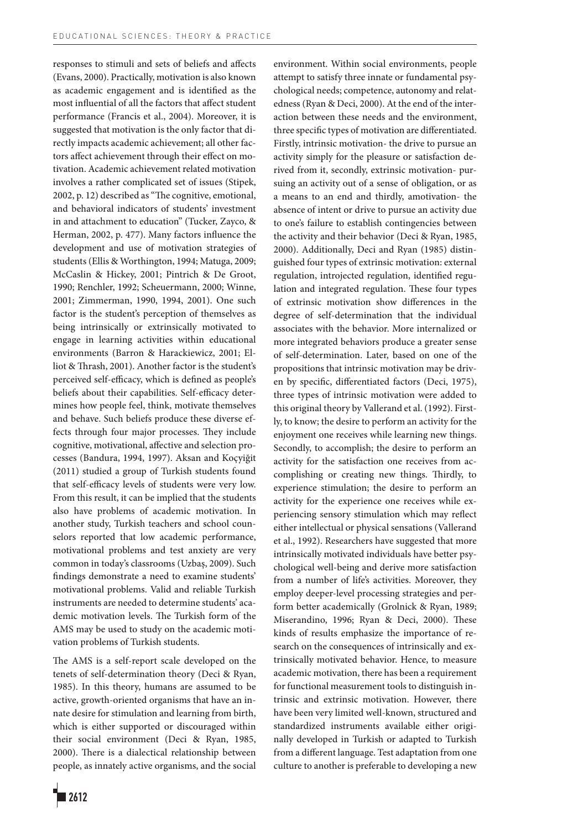responses to stimuli and sets of beliefs and affects (Evans, 2000). Practically, motivation is also known as academic engagement and is identified as the most influential of all the factors that affect student performance (Francis et al., 2004). Moreover, it is suggested that motivation is the only factor that directly impacts academic achievement; all other factors affect achievement through their effect on motivation. Academic achievement related motivation involves a rather complicated set of issues (Stipek, 2002, p. 12) described as "The cognitive, emotional, and behavioral indicators of students' investment in and attachment to education" (Tucker, Zayco, & Herman, 2002, p. 477). Many factors influence the development and use of motivation strategies of students (Ellis & Worthington, 1994; Matuga, 2009; McCaslin & Hickey, 2001; Pintrich & De Groot, 1990; Renchler, 1992; Scheuermann, 2000; Winne, 2001; Zimmerman, 1990, 1994, 2001). One such factor is the student's perception of themselves as being intrinsically or extrinsically motivated to engage in learning activities within educational environments (Barron & Harackiewicz, 2001; Elliot & Thrash, 2001). Another factor is the student's perceived self-efficacy, which is defined as people's beliefs about their capabilities. Self-efficacy determines how people feel, think, motivate themselves and behave. Such beliefs produce these diverse effects through four major processes. They include cognitive, motivational, affective and selection processes (Bandura, 1994, 1997). Aksan and Koçyiğit (2011) studied a group of Turkish students found that self-efficacy levels of students were very low. From this result, it can be implied that the students also have problems of academic motivation. In another study, Turkish teachers and school counselors reported that low academic performance, motivational problems and test anxiety are very common in today's classrooms (Uzbaş, 2009). Such findings demonstrate a need to examine students' motivational problems. Valid and reliable Turkish instruments are needed to determine students' academic motivation levels. The Turkish form of the AMS may be used to study on the academic motivation problems of Turkish students.

The AMS is a self-report scale developed on the tenets of self-determination theory (Deci & Ryan, 1985). In this theory, humans are assumed to be active, growth-oriented organisms that have an innate desire for stimulation and learning from birth, which is either supported or discouraged within their social environment (Deci & Ryan, 1985, 2000). There is a dialectical relationship between people, as innately active organisms, and the social

2612

environment. Within social environments, people attempt to satisfy three innate or fundamental psychological needs; competence, autonomy and relatedness (Ryan & Deci, 2000). At the end of the interaction between these needs and the environment, three specific types of motivation are differentiated. Firstly, intrinsic motivation- the drive to pursue an activity simply for the pleasure or satisfaction derived from it, secondly, extrinsic motivation- pursuing an activity out of a sense of obligation, or as a means to an end and thirdly, amotivation- the absence of intent or drive to pursue an activity due to one's failure to establish contingencies between the activity and their behavior (Deci & Ryan, 1985, 2000). Additionally, Deci and Ryan (1985) distinguished four types of extrinsic motivation: external regulation, introjected regulation, identified regulation and integrated regulation. These four types of extrinsic motivation show differences in the degree of self-determination that the individual associates with the behavior. More internalized or more integrated behaviors produce a greater sense of self-determination. Later, based on one of the propositions that intrinsic motivation may be driven by specific, differentiated factors (Deci, 1975), three types of intrinsic motivation were added to this original theory by Vallerand et al. (1992). Firstly, to know; the desire to perform an activity for the enjoyment one receives while learning new things. Secondly, to accomplish; the desire to perform an activity for the satisfaction one receives from accomplishing or creating new things. Thirdly, to experience stimulation; the desire to perform an activity for the experience one receives while experiencing sensory stimulation which may reflect either intellectual or physical sensations (Vallerand et al., 1992). Researchers have suggested that more intrinsically motivated individuals have better psychological well-being and derive more satisfaction from a number of life's activities. Moreover, they employ deeper-level processing strategies and perform better academically (Grolnick & Ryan, 1989; Miserandino, 1996; Ryan & Deci, 2000). These kinds of results emphasize the importance of research on the consequences of intrinsically and extrinsically motivated behavior. Hence, to measure academic motivation, there has been a requirement for functional measurement tools to distinguish intrinsic and extrinsic motivation. However, there have been very limited well-known, structured and standardized instruments available either originally developed in Turkish or adapted to Turkish from a different language. Test adaptation from one culture to another is preferable to developing a new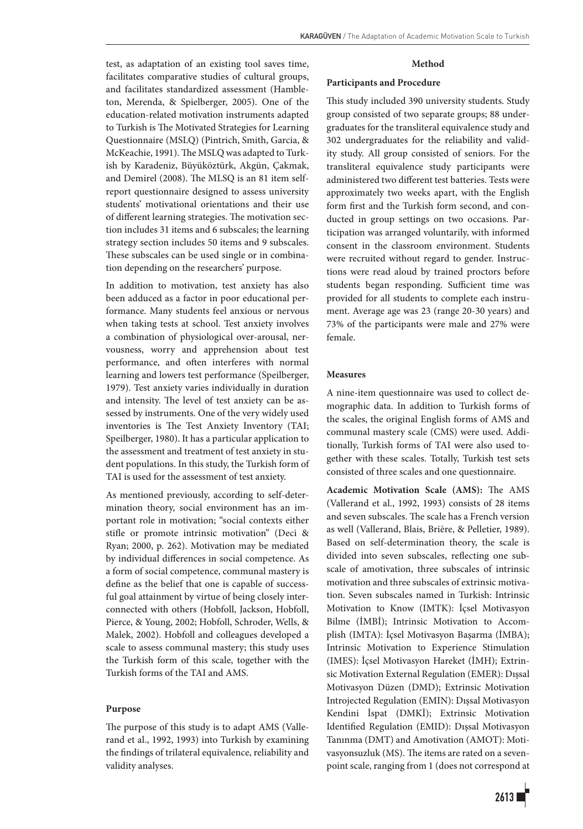test, as adaptation of an existing tool saves time, facilitates comparative studies of cultural groups, and facilitates standardized assessment (Hambleton, Merenda, & Spielberger, 2005). One of the education-related motivation instruments adapted to Turkish is The Motivated Strategies for Learning Questionnaire (MSLQ) (Pintrich, Smith, Garcia, & McKeachie, 1991). The MSLQ was adapted to Turkish by Karadeniz, Büyüköztürk, Akgün, Çakmak, and Demirel (2008). The MLSQ is an 81 item selfreport questionnaire designed to assess university students' motivational orientations and their use of different learning strategies. The motivation section includes 31 items and 6 subscales; the learning strategy section includes 50 items and 9 subscales. These subscales can be used single or in combination depending on the researchers' purpose.

In addition to motivation, test anxiety has also been adduced as a factor in poor educational performance. Many students feel anxious or nervous when taking tests at school. Test anxiety involves a combination of physiological over-arousal, nervousness, worry and apprehension about test performance, and often interferes with normal learning and lowers test performance (Speilberger, 1979). Test anxiety varies individually in duration and intensity. The level of test anxiety can be assessed by instruments. One of the very widely used inventories is The Test Anxiety Inventory (TAI; Speilberger, 1980). It has a particular application to the assessment and treatment of test anxiety in student populations. In this study, the Turkish form of TAI is used for the assessment of test anxiety.

As mentioned previously, according to self-determination theory, social environment has an important role in motivation; "social contexts either stifle or promote intrinsic motivation" (Deci & Ryan; 2000, p. 262). Motivation may be mediated by individual differences in social competence. As a form of social competence, communal mastery is define as the belief that one is capable of successful goal attainment by virtue of being closely interconnected with others (Hobfoll, Jackson, Hobfoll, Pierce, & Young, 2002; Hobfoll, Schroder, Wells, & Malek, 2002). Hobfoll and colleagues developed a scale to assess communal mastery; this study uses the Turkish form of this scale, together with the Turkish forms of the TAI and AMS.

#### **Purpose**

The purpose of this study is to adapt AMS (Vallerand et al., 1992, 1993) into Turkish by examining the findings of trilateral equivalence, reliability and validity analyses.

#### **Method**

#### **Participants and Procedure**

This study included 390 university students. Study group consisted of two separate groups; 88 undergraduates for the transliteral equivalence study and 302 undergraduates for the reliability and validity study. All group consisted of seniors. For the transliteral equivalence study participants were administered two different test batteries. Tests were approximately two weeks apart, with the English form first and the Turkish form second, and conducted in group settings on two occasions. Participation was arranged voluntarily, with informed consent in the classroom environment. Students were recruited without regard to gender. Instructions were read aloud by trained proctors before students began responding. Sufficient time was provided for all students to complete each instrument. Average age was 23 (range 20-30 years) and 73% of the participants were male and 27% were female.

#### **Measures**

A nine-item questionnaire was used to collect demographic data. In addition to Turkish forms of the scales, the original English forms of AMS and communal mastery scale (CMS) were used. Additionally, Turkish forms of TAI were also used together with these scales. Totally, Turkish test sets consisted of three scales and one questionnaire.

**Academic Motivation Scale (AMS):** The AMS (Vallerand et al., 1992, 1993) consists of 28 items and seven subscales. The scale has a French version as well (Vallerand, Blais, Brière, & Pelletier, 1989). Based on self-determination theory, the scale is divided into seven subscales, reflecting one subscale of amotivation, three subscales of intrinsic motivation and three subscales of extrinsic motivation. Seven subscales named in Turkish: Intrinsic Motivation to Know (IMTK): İçsel Motivasyon Bilme (İMBİ); Intrinsic Motivation to Accomplish (IMTA): İçsel Motivasyon Başarma (İMBA); Intrinsic Motivation to Experience Stimulation (IMES): İçsel Motivasyon Hareket (İMH); Extrinsic Motivation External Regulation (EMER): Dışsal Motivasyon Düzen (DMD); Extrinsic Motivation Introjected Regulation (EMIN): Dışsal Motivasyon Kendini İspat (DMKİ); Extrinsic Motivation Identified Regulation (EMID): Dışsal Motivasyon Tanınma (DMT) and Amotivation (AMOT): Motivasyonsuzluk (MS). The items are rated on a sevenpoint scale, ranging from 1 (does not correspond at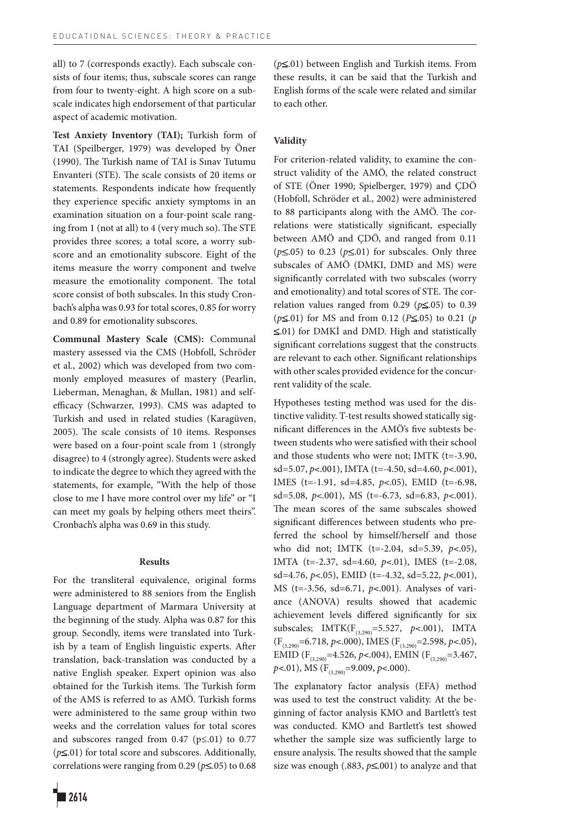all) to 7 (corresponds exactly). Each subscale consists of four items; thus, subscale scores can range from four to twenty-eight. A high score on a subscale indicates high endorsement of that particular aspect of academic motivation.

**Test Anxiety Inventory (TAI);** Turkish form of TAI (Speilberger, 1979) was developed by Öner (1990). The Turkish name of TAI is Sınav Tutumu Envanteri (STE). The scale consists of 20 items or statements. Respondents indicate how frequently they experience specific anxiety symptoms in an examination situation on a four-point scale ranging from 1 (not at all) to 4 (very much so). The STE provides three scores; a total score, a worry subscore and an emotionality subscore. Eight of the items measure the worry component and twelve measure the emotionality component. The total score consist of both subscales. In this study Cronbach's alpha was 0.93 for total scores, 0.85 for worry and 0.89 for emotionality subscores.

**Communal Mastery Scale (CMS):** Communal mastery assessed via the CMS (Hobfoll, Schröder et al., 2002) which was developed from two commonly employed measures of mastery (Pearlin, Lieberman, Menaghan, & Mullan, 1981) and selfefficacy (Schwarzer, 1993). CMS was adapted to Turkish and used in related studies (Karagüven, 2005). The scale consists of 10 items. Responses were based on a four-point scale from 1 (strongly disagree) to 4 (strongly agree). Students were asked to indicate the degree to which they agreed with the statements, for example, "With the help of those close to me I have more control over my life" or "I can meet my goals by helping others meet theirs". Cronbach's alpha was 0.69 in this study.

#### **Results**

For the transliteral equivalence, original forms were administered to 88 seniors from the English Language department of Marmara University at the beginning of the study. Alpha was 0.87 for this group. Secondly, items were translated into Turkish by a team of English linguistic experts. After translation, back-translation was conducted by a native English speaker. Expert opinion was also obtained for the Turkish items. The Turkish form of the AMS is referred to as AMÖ. Turkish forms were administered to the same group within two weeks and the correlation values for total scores and subscores ranged from  $0.47$  ( $p \le 0.01$ ) to  $0.77$  $(p \le 01)$  for total score and subscores. Additionally, correlations were ranging from 0.29 ( $p \le 0.05$ ) to 0.68  $(p \le 01)$  between English and Turkish items. From these results, it can be said that the Turkish and English forms of the scale were related and similar to each other.

#### **Validity**

For criterion-related validity, to examine the construct validity of the AMÖ, the related construct of STE (Öner 1990; Spielberger, 1979) and ÇDÖ (Hobfoll, Schröder et al., 2002) were administered to 88 participants along with the AMÖ. The correlations were statistically significant, especially between AMÖ and ÇDÖ, and ranged from 0.11  $(p \le 0.05)$  to 0.23  $(p \le 0.01)$  for subscales. Only three subscales of AMÖ (DMKI, DMD and MS) were significantly correlated with two subscales (worry and emotionality) and total scores of STE. The correlation values ranged from  $0.29$  ( $p \le 0.05$ ) to  $0.39$  $(p \le 01)$  for MS and from 0.12 ( $P \le 0.05$ ) to 0.21 (*p*)  $\leq$ .01) for DMKİ and DMD. High and statistically significant correlations suggest that the constructs are relevant to each other. Significant relationships with other scales provided evidence for the concurrent validity of the scale.

Hypotheses testing method was used for the distinctive validity. T-test results showed statically significant differences in the AMÖ's five subtests between students who were satisfied with their school and those students who were not; IMTK (t=-3.90, sd=5.07, *p*<.001), IMTA (t=-4.50, sd=4.60, *p*<.001), IMES (t=-1.91, sd=4.85, *p*<.05), EMID (t=-6.98, sd=5.08, *p*<.001), MS (t=-6.73, sd=6.83, *p*<.001). The mean scores of the same subscales showed significant differences between students who preferred the school by himself/herself and those who did not; IMTK (t=-2.04, sd=5.39, *p*<.05), IMTA (t=-2.37, sd=4.60, *p*<.01), IMES (t=-2.08, sd=4.76, *p*<.05), EMID (t=-4.32, sd=5.22, *p*<.001), MS (t=-3.56, sd=6.71, *p*<.001). Analyses of variance (ANOVA) results showed that academic achievement levels differed significantly for six subscales; IMTK(F<sub>(3,290</sub>=5.527, *p*<.001), IMTA (F(3,290)=6.718, *p*<.000), IMES (F(3,290)=2.598, *p*<.05), EMID (F<sub>(3,290</sub>)=4.526, *p*<.004), EMIN (F<sub>(3,290</sub>)=3.467, *p*<.01), MS (F<sub>(3,290</sub>)=9.009, *p*<.000).

The explanatory factor analysis (EFA) method was used to test the construct validity. At the beginning of factor analysis KMO and Bartlett's test was conducted. KMO and Bartlett's test showed whether the sample size was sufficiently large to ensure analysis. The results showed that the sample size was enough (.883,  $p \le 0.001$ ) to analyze and that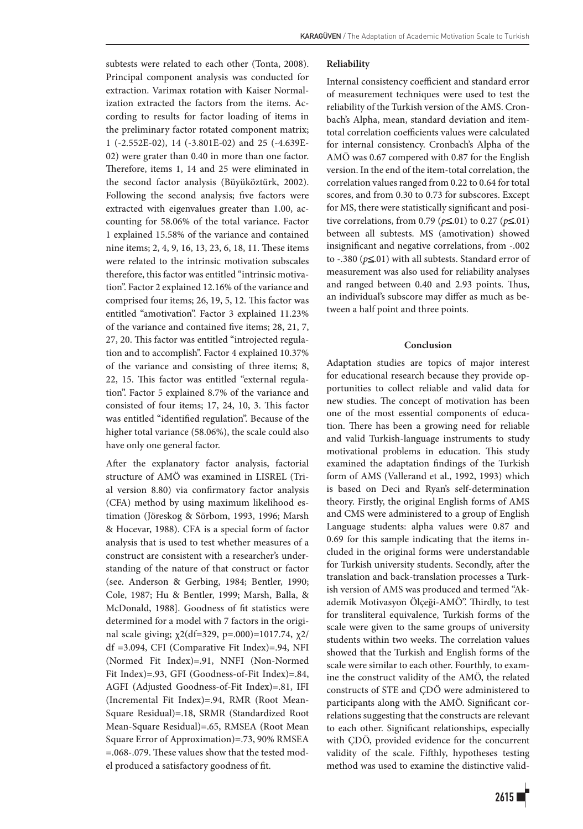subtests were related to each other (Tonta, 2008). Principal component analysis was conducted for extraction. Varimax rotation with Kaiser Normalization extracted the factors from the items. According to results for factor loading of items in the preliminary factor rotated component matrix; 1 (-2.552E-02), 14 (-3.801E-02) and 25 (-4.639E-02) were grater than 0.40 in more than one factor. Therefore, items 1, 14 and 25 were eliminated in the second factor analysis (Büyüköztürk, 2002). Following the second analysis; five factors were extracted with eigenvalues greater than 1.00, accounting for 58.06% of the total variance. Factor 1 explained 15.58% of the variance and contained nine items; 2, 4, 9, 16, 13, 23, 6, 18, 11. These items were related to the intrinsic motivation subscales therefore, this factor was entitled "intrinsic motivation". Factor 2 explained 12.16% of the variance and comprised four items; 26, 19, 5, 12. This factor was entitled "amotivation". Factor 3 explained 11.23% of the variance and contained five items; 28, 21, 7, 27, 20. This factor was entitled "introjected regulation and to accomplish". Factor 4 explained 10.37% of the variance and consisting of three items; 8, 22, 15. This factor was entitled "external regulation". Factor 5 explained 8.7% of the variance and consisted of four items; 17, 24, 10, 3. This factor was entitled "identified regulation". Because of the higher total variance (58.06%), the scale could also have only one general factor.

After the explanatory factor analysis, factorial structure of AMÖ was examined in LISREL (Trial version 8.80) via confirmatory factor analysis (CFA) method by using maximum likelihood estimation (Jöreskog & Sörbom, 1993, 1996; Marsh & Hocevar, 1988). CFA is a special form of factor analysis that is used to test whether measures of a construct are consistent with a researcher's understanding of the nature of that construct or factor (see. Anderson & Gerbing, 1984; Bentler, 1990; Cole, 1987; Hu & Bentler, 1999; Marsh, Balla, & McDonald, 1988]. Goodness of fit statistics were determined for a model with 7 factors in the original scale giving; χ2(df=329, p=.000)=1017.74, χ2/ df =3.094, CFI (Comparative Fit Index)=.94, NFI (Normed Fit Index)=.91, NNFI (Non-Normed Fit Index)=.93, GFI (Goodness-of-Fit Index)=.84, AGFI (Adjusted Goodness-of-Fit Index)=.81, IFI (Incremental Fit Index)=.94, RMR (Root Mean-Square Residual)=.18, SRMR (Standardized Root Mean-Square Residual)=.65, RMSEA (Root Mean Square Error of Approximation)=.73, 90% RMSEA =.068-.079. These values show that the tested model produced a satisfactory goodness of fit.

### **Reliability**

Internal consistency coefficient and standard error of measurement techniques were used to test the reliability of the Turkish version of the AMS. Cronbach's Alpha, mean, standard deviation and itemtotal correlation coefficients values were calculated for internal consistency. Cronbach's Alpha of the AMÖ was 0.67 compered with 0.87 for the English version. In the end of the item-total correlation, the correlation values ranged from 0.22 to 0.64 for total scores, and from 0.30 to 0.73 for subscores. Except for MS, there were statistically significant and positive correlations, from 0.79 ( $p \le 0.01$ ) to 0.27 ( $p \le 0.01$ ) between all subtests. MS (amotivation) showed insignificant and negative correlations, from -.002 to  $-.380$  ( $p \le 01$ ) with all subtests. Standard error of measurement was also used for reliability analyses and ranged between 0.40 and 2.93 points. Thus, an individual's subscore may differ as much as between a half point and three points.

# **Conclusion**

Adaptation studies are topics of major interest for educational research because they provide opportunities to collect reliable and valid data for new studies. The concept of motivation has been one of the most essential components of education. There has been a growing need for reliable and valid Turkish-language instruments to study motivational problems in education. This study examined the adaptation findings of the Turkish form of AMS (Vallerand et al., 1992, 1993) which is based on Deci and Ryan's self-determination theory. Firstly, the original English forms of AMS and CMS were administered to a group of English Language students: alpha values were 0.87 and 0.69 for this sample indicating that the items included in the original forms were understandable for Turkish university students. Secondly, after the translation and back-translation processes a Turkish version of AMS was produced and termed "Akademik Motivasyon Ölçeği-AMÖ". Thirdly, to test for transliteral equivalence, Turkish forms of the scale were given to the same groups of university students within two weeks. The correlation values showed that the Turkish and English forms of the scale were similar to each other. Fourthly*,* to examine the construct validity of the AMÖ, the related constructs of STE and ÇDÖ were administered to participants along with the AMÖ. Significant correlations suggesting that the constructs are relevant to each other. Significant relationships, especially with ÇDÖ, provided evidence for the concurrent validity of the scale. Fifthly, hypotheses testing method was used to examine the distinctive valid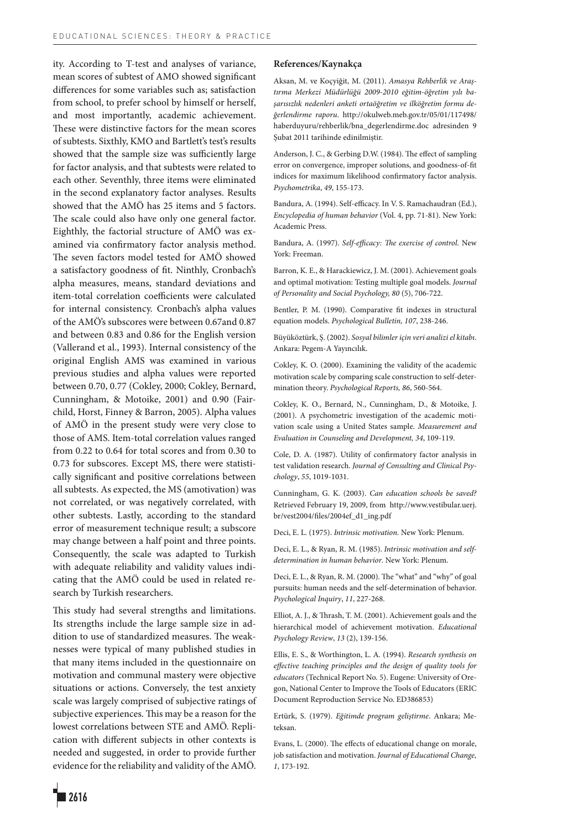ity. According to T-test and analyses of variance, mean scores of subtest of AMO showed significant differences for some variables such as; satisfaction from school, to prefer school by himself or herself, and most importantly, academic achievement. These were distinctive factors for the mean scores of subtests. Sixthly, KMO and Bartlett's test's results showed that the sample size was sufficiently large for factor analysis, and that subtests were related to each other. Seventhly, three items were eliminated in the second explanatory factor analyses. Results showed that the AMÖ has 25 items and 5 factors. The scale could also have only one general factor. Eighthly, the factorial structure of AMÖ was examined via confirmatory factor analysis method. The seven factors model tested for AMÖ showed a satisfactory goodness of fit. Ninthly, Cronbach's alpha measures, means, standard deviations and item-total correlation coefficients were calculated for internal consistency. Cronbach's alpha values of the AMÖ's subscores were between 0.67and 0.87 and between 0.83 and 0.86 for the English version (Vallerand et al., 1993). Internal consistency of the original English AMS was examined in various previous studies and alpha values were reported between 0.70, 0.77 (Cokley, 2000; Cokley, Bernard, Cunningham, & Motoike, 2001) and 0.90 (Fairchild, Horst, Finney & Barron, 2005). Alpha values of AMÖ in the present study were very close to those of AMS. Item-total correlation values ranged from 0.22 to 0.64 for total scores and from 0.30 to 0.73 for subscores. Except MS, there were statistically significant and positive correlations between all subtests. As expected, the MS (amotivation) was not correlated, or was negatively correlated, with other subtests. Lastly, according to the standard error of measurement technique result; a subscore may change between a half point and three points. Consequently, the scale was adapted to Turkish with adequate reliability and validity values indicating that the AMÖ could be used in related research by Turkish researchers.

This study had several strengths and limitations. Its strengths include the large sample size in addition to use of standardized measures. The weaknesses were typical of many published studies in that many items included in the questionnaire on motivation and communal mastery were objective situations or actions. Conversely, the test anxiety scale was largely comprised of subjective ratings of subjective experiences. This may be a reason for the lowest correlations between STE and AMÖ. Replication with different subjects in other contexts is needed and suggested, in order to provide further evidence for the reliability and validity of the AMÖ.

#### **References/Kaynakça**

Aksan, M. ve Koçyiğit, M. (2011). *Amasya Rehberlik ve Araştırma Merkezi Müdürlüğü 2009-2010 eğitim-öğretim yılı başarısızlık nedenleri anketi ortaöğretim ve ilköğretim formu değerlendirme raporu*. http://okulweb.meb.gov.tr/05/01/117498/ haberduyuru/rehberlik/bna\_degerlendirme.doc adresinden 9 Şubat 2011 tarihinde edinilmiştir.

Anderson, J. C., & Gerbing D.W. (1984). The effect of sampling error on convergence, improper solutions, and goodness-of-fit indices for maximum likelihood confirmatory factor analysis. *Psychometrika*, *49*, 155-173.

Bandura, A. (1994). Self-efficacy. In V. S. Ramachaudran (Ed.), *Encyclopedia of human behavior* (Vol. 4, pp. 71-81). New York: Academic Press.

Bandura, A. (1997). *Self-efficacy: The exercise of control*. New York: Freeman.

Barron, K. E., & Harackiewicz, J. M. (2001). Achievement goals and optimal motivation: Testing multiple goal models. *Journal of Personality and Social Psychology, 80* (5), 706-722.

Bentler, P. M. (1990). Comparative fit indexes in structural equation models. *Psychological Bulletin, 107*, 238-246.

Büyüköztürk, Ş. (2002). *Sosyal bilimler için veri analizi el kitabı*. Ankara: Pegem-A Yayıncılık.

Cokley, K. O. (2000). Examining the validity of the academic motivation scale by comparing scale construction to self-determination theory. *Psychological Reports, 86*, 560-564.

Cokley, K. O., Bernard, N., Cunningham, D., & Motoike, J. (2001). A psychometric investigation of the academic motivation scale using a United States sample. *Measurement and Evaluation in Counseling and Development, 34*, 109-119.

Cole, D. A. (1987). Utility of confirmatory factor analysis in test validation research. *Journal of Consulting and Clinical Psychology*, *55*, 1019-1031.

Cunningham, G. K. (2003). *Can education schools be saved?*  Retrieved February 19, 2009, from http://www.vestibular.uerj. br/vest2004/files/2004ef\_d1\_ing.pdf

Deci, E. L. (1975). *Intrinsic motivation.* New York: Plenum.

Deci, E. L., & Ryan, R. M. (1985). *Intrinsic motivation and selfdetermination in human behavior*. New York: Plenum.

Deci, E. L., & Ryan, R. M. (2000). The "what" and "why" of goal pursuits: human needs and the self-determination of behavior. *Psychological Inquiry*, *11*, 227-268.

Elliot, A. J., & Thrash, T. M. (2001). Achievement goals and the hierarchical model of achievement motivation. *Educational Psychology Review*, *13* (2), 139-156.

Ellis, E. S., & Worthington, L. A. (1994). *Research synthesis on effective teaching principles and the design of quality tools for educators* (Technical Report No. 5). Eugene: University of Oregon, National Center to Improve the Tools of Educators (ERIC Document Reproduction Service No. ED386853)

Ertürk, S. (1979). *Eğitimde program geliştirme*. Ankara; Meteksan.

Evans, L. (2000). The effects of educational change on morale, job satisfaction and motivation. *Journal of Educational Change, 1*, 173-192.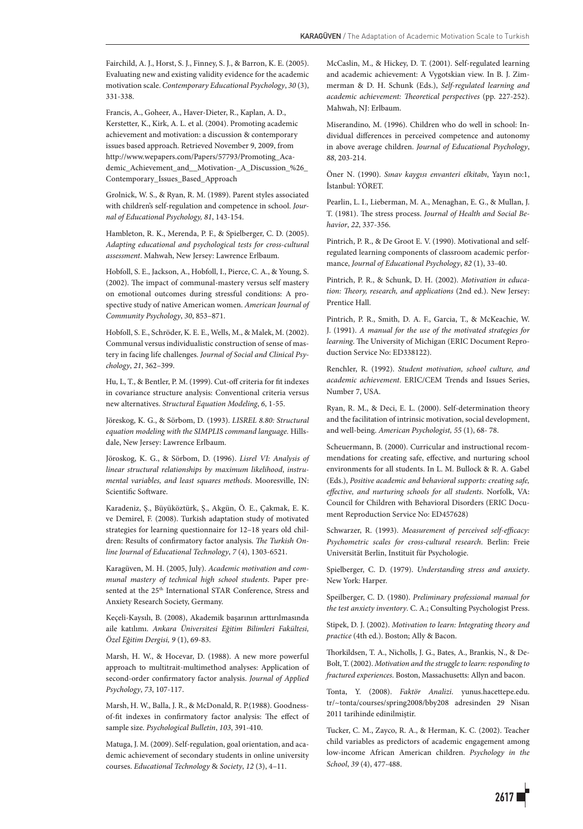Fairchild, A. J., Horst, S. J., Finney, S. J., & Barron, K. E. (2005). Evaluating new and existing validity evidence for the academic motivation scale. *Contemporary Educational Psychology*, *30* (3), 331-338.

Francis, A., Goheer, A., Haver-Dieter, R., Kaplan, A. D., Kerstetter, K., Kirk, A. L. et al. (2004). Promoting academic achievement and motivation: a discussion & contemporary issues based approach. Retrieved November 9, 2009, from http://www.wepapers.com/Papers/57793/Promoting\_Academic\_Achievement\_and\_\_Motivation-\_A\_Discussion\_%26\_ Contemporary\_Issues\_Based\_Approach

Grolnick, W. S., & Ryan, R. M. (1989). Parent styles associated with children's self-regulation and competence in school. *Journal of Educational Psychology, 81*, 143-154.

Hambleton, R. K., Merenda, P. F., & Spielberger, C. D. (2005). *Adapting educational and psychological tests for cross-cultural assessment*. Mahwah, New Jersey: Lawrence Erlbaum.

Hobfoll, S. E., Jackson, A., Hobfoll, I., Pierce, C. A., & Young, S. (2002). The impact of communal-mastery versus self mastery on emotional outcomes during stressful conditions: A prospective study of native American women. *American Journal of Community Psychology*, *30*, 853–871.

Hobfoll, S. E., Schröder, K. E. E., Wells, M., & Malek, M. (2002). Communal versus individualistic construction of sense of mastery in facing life challenges. *Journal of Social and Clinical Psychology*, *21*, 362–399.

Hu, L, T., & Bentler, P. M. (1999). Cut-off criteria for fit indexes in covariance structure analysis: Conventional criteria versus new alternatives. *Structural Equation Modeling*, *6*, 1-55.

Jöreskog, K. G., & Sörbom, D. (1993). *LISREL 8.80: Structural equation modeling with the SIMPLIS command language.* Hillsdale, New Jersey: Lawrence Erlbaum.

Jöroskog, K. G., & Sörbom, D. (1996). *Lisrel VI: Analysis of linear structural relationships by maximum likelihood*, *instrumental variables, and least squares methods*. Mooresville, IN: Scientific Software.

Karadeniz, Ş., Büyüköztürk, Ş., Akgün, Ö. E., Çakmak, E. K. ve Demirel, F. (2008). Turkish adaptation study of motivated strategies for learning questionnaire for 12–18 years old children: Results of confirmatory factor analysis. *The Turkish Online Journal of Educational Technology*, *7* (4), 1303-6521.

Karagüven, M. H. (2005, July). *Academic motivation and communal mastery of technical high school students*. Paper presented at the 25<sup>th</sup> International STAR Conference, Stress and Anxiety Research Society, Germany.

Keçeli-Kaysılı, B. (2008), Akademik başarının arttırılmasında aile katılımı. *Ankara Üniversitesi Eğitim Bilimleri Fakültesi, Özel Eğitim Dergisi, 9* (1), 69-83.

Marsh, H. W., & Hocevar, D. (1988). A new more powerful approach to multitrait-multimethod analyses: Application of second-order confirmatory factor analysis. *Journal of Applied Psychology*, *73*, 107-117.

Marsh, H. W., Balla, J. R., & McDonald, R. P.(1988). Goodnessof-fit indexes in confirmatory factor analysis: The effect of sample size. *Psychological Bulletin*, *103*, 391-410.

Matuga, J. M. (2009). Self-regulation, goal orientation, and academic achievement of secondary students in online university courses. *Educational Technology* & *Society*, *12* (3), 4–11.

McCaslin, M., & Hickey, D. T. (2001). Self-regulated learning and academic achievement: A Vygotskian view. In B. J. Zimmerman & D. H. Schunk (Eds.), *Self-regulated learning and academic achievement: Theoretical perspectives* (pp. 227-252). Mahwah, NJ: Erlbaum.

Miserandino, M. (1996). Children who do well in school: Individual differences in perceived competence and autonomy in above average children. *Journal of Educational Psychology*, *88*, 203-214.

Öner N. (1990). *Sınav kaygısı envanteri elkitabı*, Yayın no:1, İstanbul: YÖRET.

Pearlin, L. I., Lieberman, M. A., Menaghan, E. G., & Mullan, J. T. (1981). The stress process. *Journal of Health and Social Behavior*, *22*, 337-356.

Pintrich, P. R., & De Groot E. V. (1990). Motivational and selfregulated learning components of classroom academic performance, *Journal of Educational Psychology*, *82* (1), 33-40.

Pintrich, P. R., & Schunk, D. H. (2002). *Motivation in education: Theory, research, and applications* (2nd ed.). New Jersey: Prentice Hall.

Pintrich, P. R., Smith, D. A. F., Garcia, T., & McKeachie, W. J. (1991). *A manual for the use of the motivated strategies for learning*. The University of Michigan (ERIC Document Reproduction Service No: ED338122).

Renchler, R. (1992). *Student motivation, school culture, and academic achievement*. ERIC/CEM Trends and Issues Series, Number 7, USA.

Ryan, R. M., & Deci, E. L. (2000). Self-determination theory and the facilitation of intrinsic motivation, social development, and well-being. *American Psychologist, 55* (1), 68- 78.

Scheuermann, B. (2000). Curricular and instructional recommendations for creating safe, effective, and nurturing school environments for all students. In L. M. Bullock & R. A. Gabel (Eds.), *Positive academic and behavioral supports: creating safe, effective, and nurturing schools for all students*. Norfolk, VA: Council for Children with Behavioral Disorders (ERIC Document Reproduction Service No: ED457628)

Schwarzer, R. (1993). *Measurement of perceived self-efficacy: Psychometric scales for cross-cultural research*. Berlin: Freie Universität Berlin, Instituit für Psychologie.

Spielberger, C. D. (1979). *Understanding stress and anxiety*. New York: Harper.

Speilberger, C. D. (1980). *Preliminary professional manual for the test anxiety inventory*. C. A.; Consulting Psychologist Press.

Stipek, D. J. (2002). *Motivation to learn: Integrating theory and practice* (4th ed.). Boston; Ally & Bacon.

Thorkildsen, T. A., Nicholls, J. G., Bates, A., Brankis, N., & De-Bolt, T. (2002). *Motivation and the struggle to learn: responding to fractured experiences*. Boston, Massachusetts: Allyn and bacon.

Tonta, Y. (2008). *Faktör Analizi.* yunus.hacettepe.edu. tr/~tonta/courses/spring2008/bby208 adresinden 29 Nisan 2011 tarihinde edinilmiştir.

Tucker, C. M., Zayco, R. A., & Herman, K. C. (2002). Teacher child variables as predictors of academic engagement among low-income African American children. *Psychology in the School*, *39* (4), 477-488.